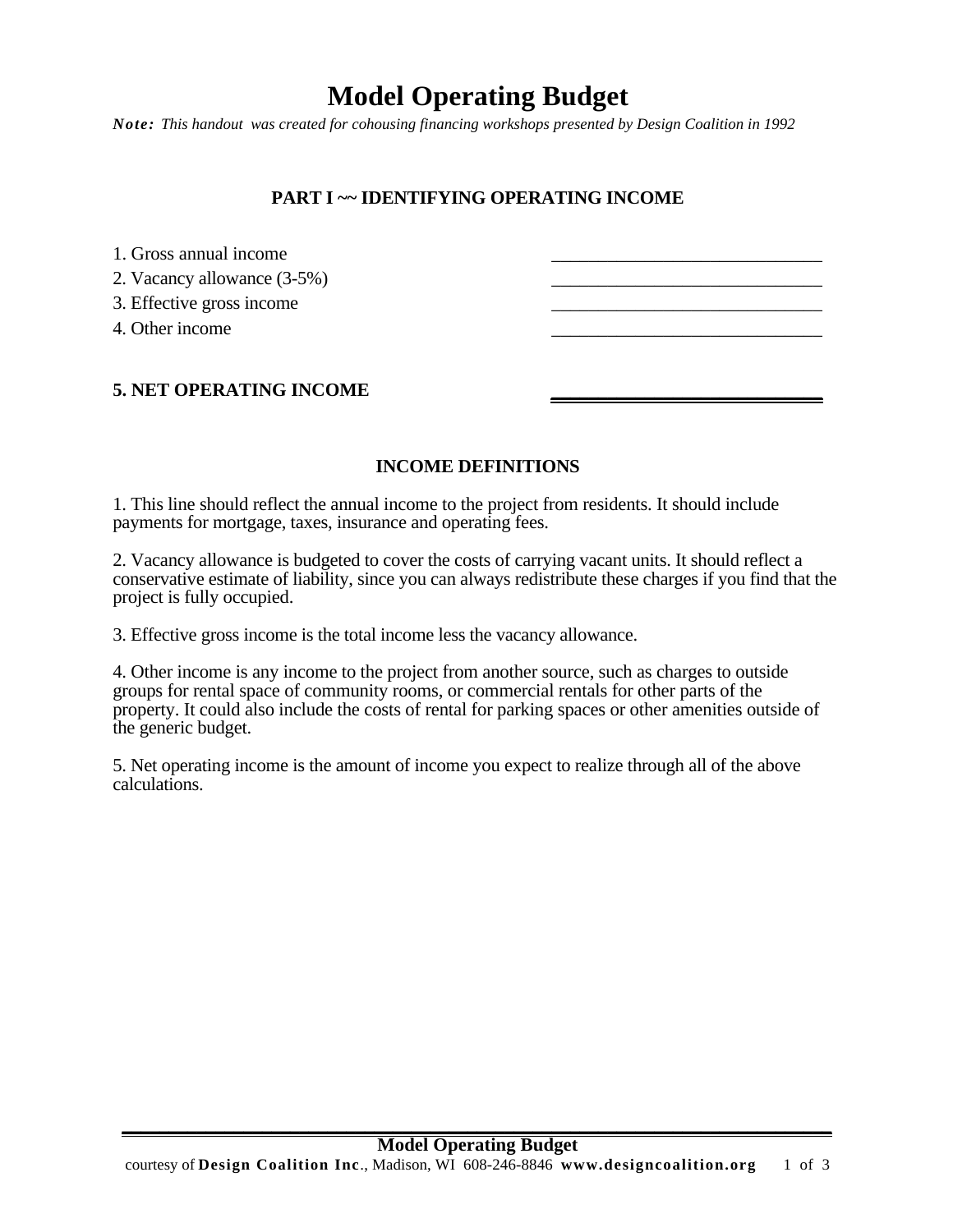# **Model Operating Budget**

*Note: This handout was created for cohousing financing workshops presented by Design Coalition in 1992* 

## **PART I ~~ IDENTIFYING OPERATING INCOME**

| 1. Gross annual income      |  |
|-----------------------------|--|
| 2. Vacancy allowance (3-5%) |  |
| 3. Effective gross income   |  |
| 4. Other income             |  |
|                             |  |
|                             |  |

### **5. NET OPERATING INCOME**

### **INCOME DEFINITIONS**

1. This line should reflect the annual income to the project from residents. It should include payments for mortgage, taxes, insurance and operating fees.

2. Vacancy allowance is budgeted to cover the costs of carrying vacant units. It should reflect a conservative estimate of liability, since you can always redistribute these charges if you find that the project is fully occupied.

3. Effective gross income is the total income less the vacancy allowance.

4. Other income is any income to the project from another source, such as charges to outside groups for rental space of community rooms, or commercial rentals for other parts of the property. It could also include the costs of rental for parking spaces or other amenities outside of the generic budget.

5. Net operating income is the amount of income you expect to realize through all of the above calculations.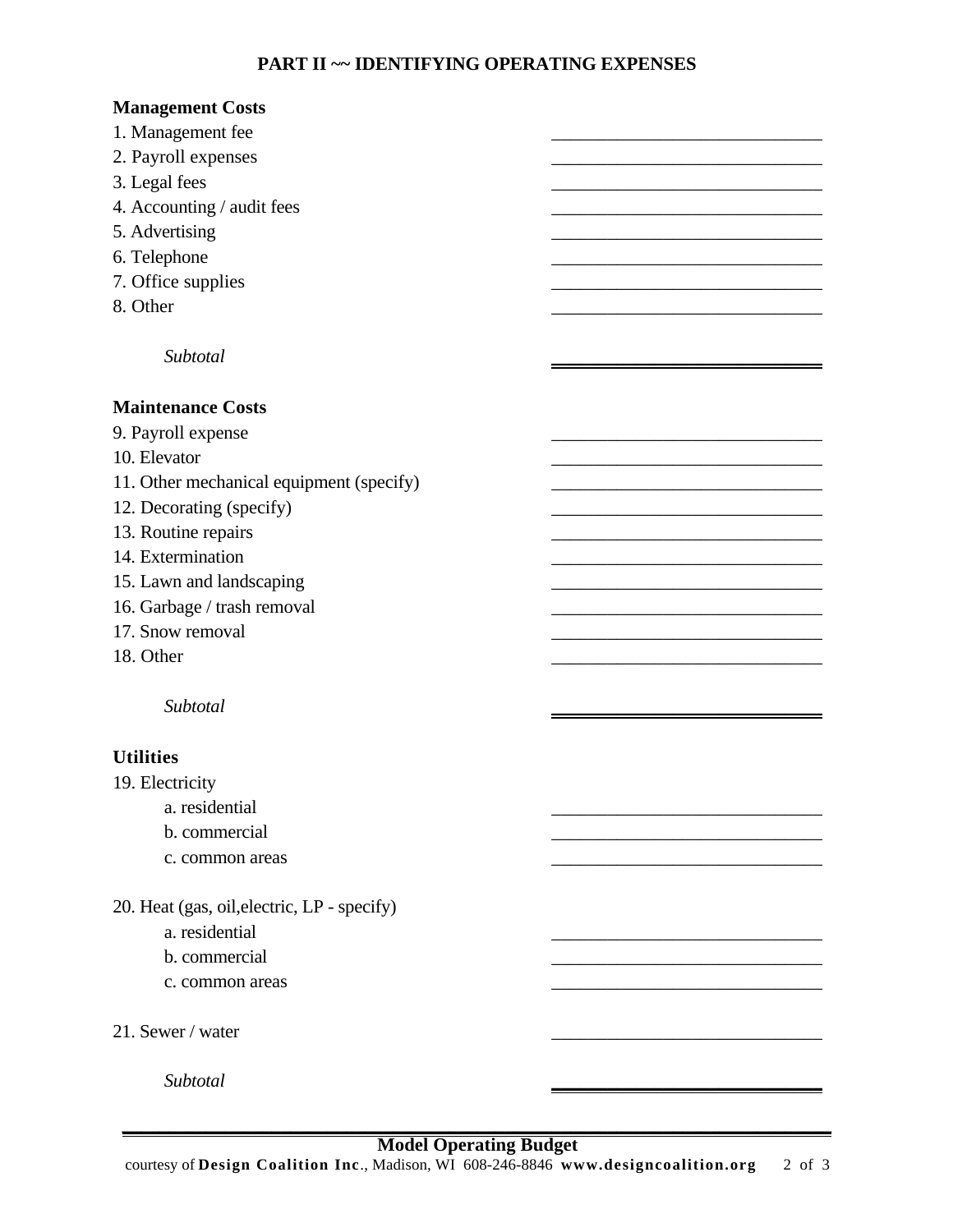# **PART II ~~ IDENTIFYING OPERATING EXPENSES**

| <b>Management Costs</b>                     |  |
|---------------------------------------------|--|
| 1. Management fee                           |  |
| 2. Payroll expenses                         |  |
| 3. Legal fees                               |  |
| 4. Accounting / audit fees                  |  |
| 5. Advertising                              |  |
| 6. Telephone                                |  |
| 7. Office supplies                          |  |
| 8. Other                                    |  |
|                                             |  |
| Subtotal                                    |  |
|                                             |  |
| <b>Maintenance Costs</b>                    |  |
| 9. Payroll expense                          |  |
| 10. Elevator                                |  |
| 11. Other mechanical equipment (specify)    |  |
| 12. Decorating (specify)                    |  |
| 13. Routine repairs                         |  |
| 14. Extermination                           |  |
| 15. Lawn and landscaping                    |  |
| 16. Garbage / trash removal                 |  |
| 17. Snow removal                            |  |
| 18. Other                                   |  |
|                                             |  |
| Subtotal                                    |  |
|                                             |  |
| <b>Utilities</b>                            |  |
| 19. Electricity                             |  |
| a. residential                              |  |
| b. commercial                               |  |
| c. common areas                             |  |
|                                             |  |
| 20. Heat (gas, oil, electric, LP - specify) |  |
| a. residential                              |  |
| b. commercial                               |  |
| c. common areas                             |  |
|                                             |  |
| 21. Sewer / water                           |  |
|                                             |  |
| Subtotal                                    |  |
|                                             |  |

#### **\_\_\_\_\_\_\_\_\_\_\_\_\_\_\_\_\_\_\_\_\_\_\_\_\_\_\_\_\_\_\_\_\_\_\_\_\_\_\_\_\_\_\_\_\_\_\_\_\_\_\_\_\_\_\_\_\_\_\_\_\_\_\_\_\_\_\_\_\_\_\_\_\_\_\_\_ Model Operating Budget**

courtesy of **Design Coalition Inc**., Madison, WI 608-246-8846 **www.designcoalition.org** 2 of 3